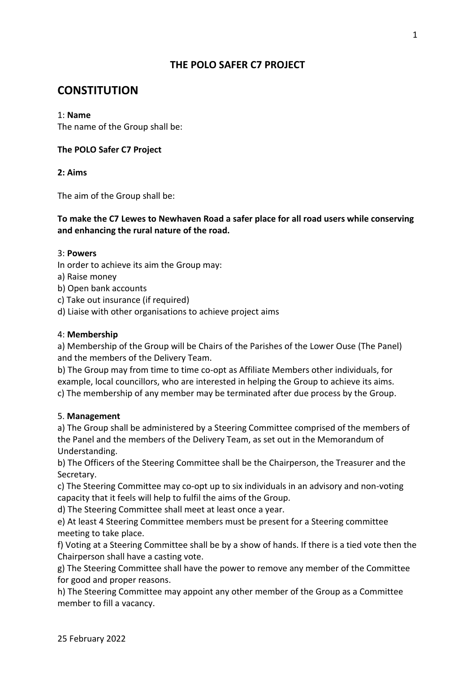# **THE POLO SAFER C7 PROJECT**

# **CONSTITUTION**

## 1: **Name**

The name of the Group shall be:

## **The POLO Safer C7 Project**

**2: Aims** 

The aim of the Group shall be:

**To make the C7 Lewes to Newhaven Road a safer place for all road users while conserving and enhancing the rural nature of the road.** 

## 3: **Powers**

- In order to achieve its aim the Group may:
- a) Raise money
- b) Open bank accounts
- c) Take out insurance (if required)
- d) Liaise with other organisations to achieve project aims

## 4: **Membership**

a) Membership of the Group will be Chairs of the Parishes of the Lower Ouse (The Panel) and the members of the Delivery Team.

b) The Group may from time to time co-opt as Affiliate Members other individuals, for example, local councillors, who are interested in helping the Group to achieve its aims. c) The membership of any member may be terminated after due process by the Group.

## 5. **Management**

a) The Group shall be administered by a Steering Committee comprised of the members of the Panel and the members of the Delivery Team, as set out in the Memorandum of Understanding.

b) The Officers of the Steering Committee shall be the Chairperson, the Treasurer and the Secretary.

c) The Steering Committee may co-opt up to six individuals in an advisory and non-voting capacity that it feels will help to fulfil the aims of the Group.

d) The Steering Committee shall meet at least once a year.

e) At least 4 Steering Committee members must be present for a Steering committee meeting to take place.

f) Voting at a Steering Committee shall be by a show of hands. If there is a tied vote then the Chairperson shall have a casting vote.

g) The Steering Committee shall have the power to remove any member of the Committee for good and proper reasons.

h) The Steering Committee may appoint any other member of the Group as a Committee member to fill a vacancy.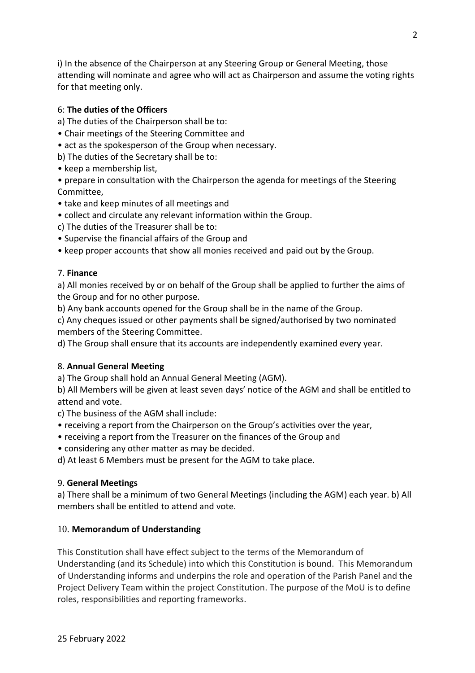i) In the absence of the Chairperson at any Steering Group or General Meeting, those attending will nominate and agree who will act as Chairperson and assume the voting rights for that meeting only.

## 6: **The duties of the Officers**

- a) The duties of the Chairperson shall be to:
- Chair meetings of the Steering Committee and
- act as the spokesperson of the Group when necessary.
- b) The duties of the Secretary shall be to:
- keep a membership list,
- prepare in consultation with the Chairperson the agenda for meetings of the Steering Committee,
- take and keep minutes of all meetings and
- collect and circulate any relevant information within the Group.
- c) The duties of the Treasurer shall be to:
- Supervise the financial affairs of the Group and
- keep proper accounts that show all monies received and paid out by the Group.

## 7. **Finance**

a) All monies received by or on behalf of the Group shall be applied to further the aims of the Group and for no other purpose.

b) Any bank accounts opened for the Group shall be in the name of the Group.

c) Any cheques issued or other payments shall be signed/authorised by two nominated members of the Steering Committee.

d) The Group shall ensure that its accounts are independently examined every year.

## 8. **Annual General Meeting**

a) The Group shall hold an Annual General Meeting (AGM).

b) All Members will be given at least seven days' notice of the AGM and shall be entitled to attend and vote.

c) The business of the AGM shall include:

- receiving a report from the Chairperson on the Group's activities over the year,
- receiving a report from the Treasurer on the finances of the Group and
- considering any other matter as may be decided.

d) At least 6 Members must be present for the AGM to take place.

## 9. **General Meetings**

a) There shall be a minimum of two General Meetings (including the AGM) each year. b) All members shall be entitled to attend and vote.

## 10. **Memorandum of Understanding**

This Constitution shall have effect subject to the terms of the Memorandum of Understanding (and its Schedule) into which this Constitution is bound. This Memorandum of Understanding informs and underpins the role and operation of the Parish Panel and the Project Delivery Team within the project Constitution. The purpose of the MoU is to define roles, responsibilities and reporting frameworks.